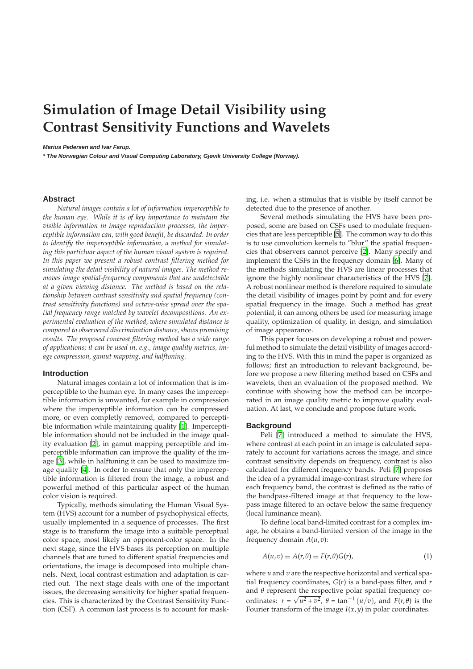# **Simulation of Image Detail Visibility using Contrast Sensitivity Functions and Wavelets**

#### **Marius Pedersen and Ivar Farup.**

**\* The Norwegian Colour and Visual Computing Laboratory, Gjøvik University College (Norway).**

## **Abstract**

*Natural images contain a lot of information imperceptible to the human eye. While it is of key importance to maintain the visible information in image reproduction processes, the imperceptible information can, with good benefit, be discarded. In order to identify the imperceptible information, a method for simulating this particluar aspect of the human visual system is required. In this paper we present a robust contrast filtering method for simulating the detail visibility of natural images. The method removes image spatial-frequency components that are undetectable at a given viewing distance. The method is based on the relationship between contrast sensitivity and spatial frequency (contrast sensitivity functions) and octave-wise spread over the spatial frequency range matched by wavelet decompositions. An experimental evaluation of the method, where simulated distance is compared to observered discrimination distance, shows promising results. The proposed contrast filtering method has a wide range of applications; it can be used in, e.g., image quality metrics, image compression, gamut mapping, and halftoning.*

#### **Introduction**

Natural images contain a lot of information that is imperceptible to the human eye. In many cases the imperceptible information is unwanted, for example in compression where the imperceptible information can be compressed more, or even completly removed, compared to perceptible information while maintaining quality [\[1\]](#page-5-0). Imperceptible information should not be included in the image quality evaluation [\[2\]](#page-5-1), in gamut mapping perceptible and imperceptible information can improve the quality of the image [\[3\]](#page-5-2), while in halftoning it can be used to maximize image quality [\[4\]](#page-5-3). In order to ensure that only the imperceptible information is filtered from the image, a robust and powerful method of this particular aspect of the human color vision is required.

Typically, methods simulating the Human Visual System (HVS) account for a number of psychophysical effects, usually implemented in a sequence of processes. The first stage is to transform the image into a suitable perceptual color space, most likely an opponent-color space. In the next stage, since the HVS bases its perception on multiple channels that are tuned to different spatial frequencies and orientations, the image is decomposed into multiple channels. Next, local contrast estimation and adaptation is carried out. The next stage deals with one of the important issues, the decreasing sensitivity for higher spatial frequencies. This is characterized by the Contrast Sensitivity Function (CSF). A common last process is to account for masking, i.e. when a stimulus that is visible by itself cannot be detected due to the presence of another.

Several methods simulating the HVS have been proposed, some are based on CSFs used to modulate frequencies that are less perceptible [\[5](#page-5-4)]. The common way to do this is to use convolution kernels to "blur" the spatial frequencies that observers cannot perceive [\[2\]](#page-5-1). Many specify and implement the CSFs in the frequency domain [\[6\]](#page-5-5). Many of the methods simulating the HVS are linear processes that ignore the highly nonlinear characteristics of the HVS [\[7](#page-5-6)]. A robust nonlinear method is therefore required to simulate the detail visibility of images point by point and for every spatial frequency in the image. Such a method has great potential, it can among others be used for measuring image quality, optimization of quality, in design, and simulation of image appearance.

This paper focuses on developing a robust and powerful method to simulate the detail visibility of images according to the HVS. With this in mind the paper is organized as follows; first an introduction to relevant background, before we propose a new filtering method based on CSFs and wavelets, then an evaluation of the proposed method. We continue with showing how the method can be incorporated in an image quality metric to improve quality evaluation. At last, we conclude and propose future work.

#### **Background**

Peli [\[7\]](#page-5-6) introduced a method to simulate the HVS, where contrast at each point in an image is calculated separately to account for variations across the image, and since contrast sensitivity depends on frequency, contrast is also calculated for different frequency bands. Peli [\[7\]](#page-5-6) proposes the idea of a pyramidal image-contrast structure where for each frequency band, the contrast is defined as the ratio of the bandpass-filtered image at that frequency to the lowpass image filtered to an octave below the same frequency (local luminance mean).

To define local band-limited contrast for a complex image, he obtains a band-limited version of the image in the frequency domain  $A(u, v)$ :

$$
A(u,v) \equiv A(r,\theta) \equiv F(r,\theta)G(r), \tag{1}
$$

where *u* and *v* are the respective horizontal and vertical spatial frequency coordinates, *G*(*r*) is a band-pass filter, and *r* and *θ* represent the respective polar spatial frequency coordinates:  $r = \sqrt{u^2 + v^2}$ ,  $\theta = \tan^{-1}(u/v)$ , and  $F(r, \theta)$  is the Fourier transform of the image  $I(x, y)$  in polar coordinates.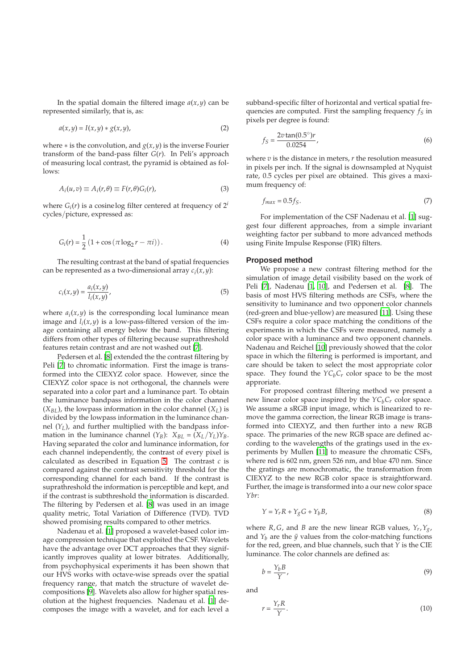In the spatial domain the filtered image  $a(x, y)$  can be represented similarly, that is, as:

$$
a(x,y) = I(x,y) * g(x,y),
$$
\n(2)

where ∗ is the convolution, and *g*(*x*, *y*) is the inverse Fourier transform of the band-pass filter *G*(*r*). In Peli's approach of measuring local contrast, the pyramid is obtained as follows:

$$
A_i(u,v) \equiv A_i(r,\theta) \equiv F(r,\theta)G_i(r), \tag{3}
$$

where  $G_i(r)$  is a cosinelog filter centered at frequency of  $2^i$ cycles/picture, expressed as:

$$
G_i(r) = \frac{1}{2} (1 + \cos(\pi \log_2 r - \pi i)).
$$
 (4)

The resulting contrast at the band of spatial frequencies can be represented as a two-dimensional array *c<sup>i</sup>* (*x*, *y*):

$$
c_i(x, y) = \frac{a_i(x, y)}{l_i(x, y)},
$$
\n<sup>(5)</sup>

where  $a_i(x, y)$  is the corresponding local luminance mean image and  $l_i(x, y)$  is a low-pass-filtered version of the image containing all energy below the band. This filtering differs from other types of filtering because suprathreshold features retain contrast and are not washed out [\[7](#page-5-6)].

Pedersen et al. [\[8](#page-5-7)] extended the the contrast filtering by Peli [\[7](#page-5-6)] to chromatic information. First the image is transformed into the CIEXYZ color space. However, since the CIEXYZ color space is not orthogonal, the channels were separated into a color part and a luminance part. To obtain the luminance bandpass information in the color channel  $(X_{BL})$ , the lowpass information in the color channel  $(X_L)$  is divided by the lowpass information in the luminance channel  $(Y_L)$ , and further multiplied with the bandpass information in the luminance channel  $(Y_B)$ :  $X_{BL} = (X_L/Y_L)Y_B$ . Having separated the color and luminance information, for each channel independently, the contrast of every pixel is calculated as described in Equation [5.](#page-1-0) The contrast *c* is compared against the contrast sensitivity threshold for the corresponding channel for each band. If the contrast is suprathreshold the information is perceptible and kept, and if the contrast is subthreshold the information is discarded. The filtering by Pedersen et al. [\[8](#page-5-7)] was used in an image quality metric, Total Variation of Difference (TVD). TVD showed promising results compared to other metrics.

Nadenau et al. [\[1](#page-5-0)] proposed a wavelet-based color image compression technique that exploited the CSF. Wavelets have the advantage over DCT approaches that they significantly improves quality at lower bitrates. Additionally, from psychophysical experiments it has been shown that our HVS works with octave-wise spreads over the spatial frequency range, that match the structure of wavelet decompositions [\[9](#page-5-8)]. Wavelets also allow for higher spatial resolution at the highest frequencies. Nadenau et al. [\[1\]](#page-5-0) decomposes the image with a wavelet, and for each level a

subband-specific filter of horizontal and vertical spatial frequencies are computed. First the sampling frequency *f<sup>S</sup>* in pixels per degree is found:

$$
f_S = \frac{2v \tan(0.5^\circ)}{0.0254},\tag{6}
$$

where *v* is the distance in meters, *r* the resolution measured in pixels per inch. If the signal is downsampled at Nyquist rate, 0.5 cycles per pixel are obtained. This gives a maximum frequency of:

$$
f_{max} = 0.5f_S. \tag{7}
$$

For implementation of the CSF Nadenau et al. [\[1](#page-5-0)] suggest four different approaches, from a simple invariant weighting factor per subband to more advanced methods using Finite Impulse Response (FIR) filters.

#### **Proposed method**

<span id="page-1-0"></span>We propose a new contrast filtering method for the simulation of image detail visibility based on the work of Peli [\[7](#page-5-6)], Nadenau [\[1](#page-5-0), [10](#page-5-9)], and Pedersen et al. [\[8](#page-5-7)]. The basis of most HVS filtering methods are CSFs, where the sensitivity to luminance and two opponent color channels (red-green and blue-yellow) are measured [\[11\]](#page-5-10). Using these CSFs require a color space matching the conditions of the experiments in which the CSFs were measured, namely a color space with a luminance and two opponent channels. Nadenau and Reichel [\[10\]](#page-5-9) previously showed that the color space in which the filtering is performed is important, and care should be taken to select the most appropriate color space. They found the  $YC<sub>b</sub>C<sub>r</sub>$  color space to be the most approriate.

For proposed contrast filtering method we present a new linear color space inspired by the  $YC_bC_r$  color space. We assume a sRGB input image, which is linearized to remove the gamma correction, the linear RGB image is transformed into CIEXYZ, and then further into a new RGB space. The primaries of the new RGB space are defined according to the wavelengths of the gratings used in the experiments by Mullen [\[11\]](#page-5-10) to measure the chromatic CSFs, where red is 602 nm, green 526 nm, and blue 470 nm. Since the gratings are monochromatic, the transformation from CIEXYZ to the new RGB color space is straightforward. Further, the image is transformed into a our new color space *Ybr*:

$$
Y = Y_r R + Y_g G + Y_b B,\tag{8}
$$

where *R*, *G*, and *B* are the new linear RGB values,  $Y_r$ ,  $Y_g$ , and  $Y_b$  are the  $\bar{y}$  values from the color-matching functions for the red, green, and blue channels, such that *Y* is the CIE luminance. The color channels are defined as:

$$
b = \frac{Y_b B}{Y},\tag{9}
$$

and

$$
r = \frac{Y_r R}{Y}.\tag{10}
$$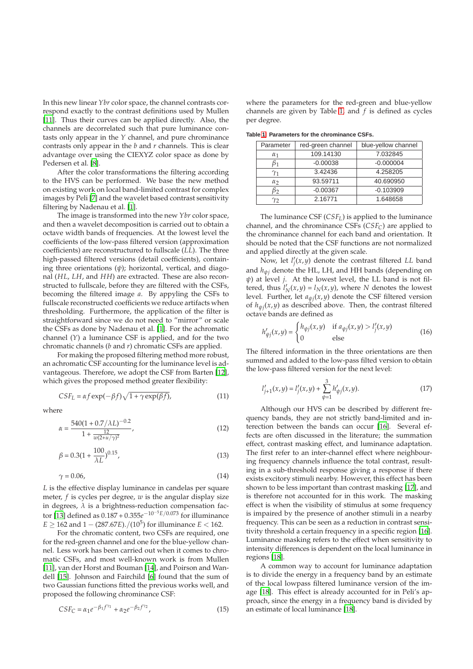In this new linear *Ybr* color space, the channel contrasts correspond exactly to the contrast definitions used by Mullen [\[11\]](#page-5-10). Thus their curves can be applied directly. Also, the channels are decorrelated such that pure luminance contasts only appear in the *Y* channel, and pure chrominance contrasts only appear in the *b* and *r* channels. This is clear advantage over using the CIEXYZ color space as done by Pedersen et al. [\[8](#page-5-7)].

After the color transformations the filtering according to the HVS can be performed. We base the new method on existing work on local band-limited contrast for complex images by Peli [\[7\]](#page-5-6) and the wavelet based contrast sensitivity filtering by Nadenau et al. [\[1\]](#page-5-0).

The image is transformed into the new *Ybr* color space, and then a wavelet decomposition is carried out to obtain a octave width bands of frequencies. At the lowest level the coefficients of the low-pass filtered version (approximation coefficients) are reconstructured to fullscale (*LL*). The three high-passed filtered versions (detail coefficients), containing three orientations (*ψ*); horizontal, vertical, and diagonal (*HL*, *LH*, and *HH*) are extracted. These are also reconstructed to fullscale, before they are filtered with the CSFs, becoming the filtered image *a*. By appyling the CSFs to fullscale reconstructed coefficients we reduce artifacts when thresholding. Furthermore, the application of the filter is straightforward since we do not need to "mirror" or scale the CSFs as done by Nadenau et al. [\[1\]](#page-5-0). For the achromatic channel (*Y*) a luminance CSF is applied, and for the two chromatic channels (*b* and *r*) chromatic CSFs are applied.

For making the proposed filtering method more robust, an achromatic CSF accounting for the luminance level is advantageous. Therefore, we adopt the CSF from Barten [\[12\]](#page-5-11), which gives the proposed method greater flexibility:

$$
CSF_L = \alpha f \exp(-\beta f) \sqrt{1 + \gamma \exp(\beta f)},
$$
\n(11)

where

$$
\alpha = \frac{540(1 + 0.7/\lambda L)^{-0.2}}{1 + \frac{12}{w(2 + u/\gamma)^2}},\tag{12}
$$

$$
\beta = 0.3(1 + \frac{100}{\lambda L})^{0.15},\tag{13}
$$

$$
\gamma = 0.06,\tag{14}
$$

*L* is the effective display luminance in candelas per square meter, *f* is cycles per degree, *w* is the angular display size in degrees,  $\lambda$  is a brightness-reduction compensation factor [\[13](#page-5-12)] defined as 0.187 + 0.355*e* <sup>−</sup>10−5*E*/0.073 for illuminance  $E \ge 162$  and  $1 - (287.67E)$ ./( $10^5$ ) for illuminance  $E < 162$ .

For the chromatic content, two CSFs are required, one for the red-green channel and one for the blue-yellow channel. Less work has been carried out when it comes to chromatic CSFs, and most well-known work is from Mullen [\[11\]](#page-5-10), van der Horst and Bouman [\[14\]](#page-5-13), and Poirson and Wandell [\[15\]](#page-5-14). Johnson and Fairchild [\[6](#page-5-5)] found that the sum of two Gaussian functions fitted the previous works well, and proposed the following chrominance CSF:

$$
CSE_C = \alpha_1 e^{-\beta_1 f^{\gamma_1}} + \alpha_2 e^{-\beta_2 f^{\gamma_2}}, \tag{15}
$$

where the parameters for the red-green and blue-yellow channels are given by Table [1,](#page-2-0) and *f* is defined as cycles per degree.

<span id="page-2-0"></span>**Table [1:](#page-2-0) Parameters for the chrominance CSFs.**

| Parameter  | red-green channel | blue-yellow channel |
|------------|-------------------|---------------------|
| $\alpha_1$ | 109.14130         | 7.032845            |
|            | $-0.00038$        | $-0.000004$         |
| $\gamma_1$ | 3.42436           | 4.258205            |
| $\alpha$   | 93.59711          | 40.690950           |
| B2         | $-0.00367$        | $-0.103909$         |
| Y2         | 2.16771           | 1.648658            |

The luminance CSF (*CSFL*) is applied to the luminance channel, and the chrominance CSFs (*CSFC*) are applied to the chrominance channel for each band and orientation. It should be noted that the CSF functions are not normalized and applied directly at the given scale.

Now, let *l* ′ *j* (*x*, *y*) denote the contrast filtered *LL* band and *hψ<sup>j</sup>* denote the HL, LH, and HH bands (depending on *ψ*) at level *j*. At the lowest level, the LL band is not filtered, thus  $l'_N(x,y) = l_N(x,y)$ , where *N* denotes the lowest level. Further, let *aψ<sup>j</sup>* (*x*, *y*) denote the CSF filtered version of  $h_{\psi j}(x, y)$  as described above. Then, the contrast filtered octave bands are defined as

$$
h'_{\psi j}(x,y) = \begin{cases} h_{\psi j}(x,y) & \text{if } a_{\psi j}(x,y) > l'_j(x,y) \\ 0 & \text{else} \end{cases} \tag{16}
$$

The filtered information in the three orientations are then summed and added to the low-pass filted version to obtain the low-pass filtered version for the next level:

$$
l'_{j+1}(x,y) = l'_{j}(x,y) + \sum_{\psi=1}^{3} h'_{\psi j}(x,y).
$$
 (17)

Although our HVS can be described by different frequency bands, they are not strictly band-limited and interection between the bands can occur [\[16](#page-5-15)]. Several effects are often discussed in the literature; the summation effect, contrast masking effect, and luminance adaptation. The first refer to an inter-channel effect where neighbouring frequency channels influence the total contrast, resulting in a sub-threshold response giving a response if there exists excitory stimuli nearby. However, this effect has been shown to be less important than contrast masking [\[17\]](#page-5-16), and is therefore not accounted for in this work. The masking effect is when the visibility of stimulus at some frequency is impaired by the presence of another stimuli in a nearby frequency. This can be seen as a reduction in contrast sensitivity threshold a certain frequency in a specific region [\[16](#page-5-15)]. Luminance masking refers to the effect when sensitivity to intensity differences is dependent on the local luminance in regions [\[18\]](#page-5-17).

A common way to account for luminance adaptation is to divide the energy in a frequency band by an estimate of the local lowpass filtered luminance version of the image [\[18\]](#page-5-17). This effect is already accounted for in Peli's approach, since the energy in a frequency band is divided by an estimate of local luminance [\[18\]](#page-5-17).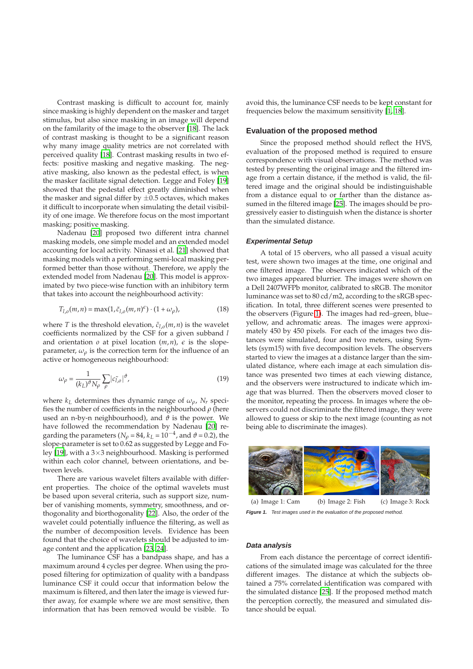Contrast masking is difficult to account for, mainly since masking is highly dependent on the masker and target stimulus, but also since masking in an image will depend on the familarity of the image to the observer [\[18\]](#page-5-17). The lack of contrast masking is thought to be a significant reason why many image quality metrics are not correlated with perceived quality [\[18](#page-5-17)]. Contrast masking results in two effects: positive masking and negative masking. The negative masking, also known as the pedestal effect, is when the masker facilitate signal detection. Legge and Foley [\[19](#page-5-18)] showed that the pedestal effect greatly diminished when the masker and signal differ by  $\pm 0.5$  octaves, which makes it difficult to incorporate when simulating the detail visibility of one image. We therefore focus on the most important masking; positive masking.

Nadenau [\[20](#page-5-19)] proposed two different intra channel masking models, one simple model and an extended model accounting for local activity. Ninassi et al. [\[21\]](#page-5-20) showed that masking models with a performing semi-local masking performed better than those without. Therefore, we apply the extended model from Nadenau [\[20\]](#page-5-19). This model is approximated by two piece-wise function with an inhibitory term that takes into account the neighbourhood activity:

$$
T_{l,o}(m,n) = \max(1,\tilde{c}_{l,o}(m,n)^{\epsilon}) \cdot (1+\omega_{\rho}),\tag{18}
$$

where *T* is the threshold elevation,  $\tilde{c}_{l,o}(m,n)$  is the wavelet coefficients normalized by the CSF for a given subband *l* and orientation  $o$  at pixel location  $(m, n)$ ,  $\epsilon$  is the slopeparameter,  $\omega_{\rho}$  is the correction term for the influence of an active or homogeneous neighbourhood:

$$
\omega_{\rho} = \frac{1}{(k_L)^{\vartheta} N_{\rho}} \sum_{\rho} |c_{l,\rho}^{\tau}|^{\vartheta},\tag{19}
$$

where  $k_L$  determines thes dynamic range of  $\omega_\rho$ ,  $N_r$  specifies the number of coefficients in the neighbourhood *ρ* (here used an n-by-n neighbourhood), and  $\vartheta$  is the power. We have followed the recommendation by Nadenau [\[20](#page-5-19)] regarding the parameters ( $N_\rho$  = 84,  $k_L$  = 10<sup>-4</sup>, and  $\vartheta$  = 0.2), the slope-parameter is set to 0.62 as suggested by Legge and Foley [\[19](#page-5-18)], with a 3×3 neighbourhood. Masking is performed within each color channel, between orientations, and between levels.

There are various wavelet filters available with different properties. The choice of the optimal wavelets must be based upon several criteria, such as support size, number of vanishing moments, symmetry, smoothness, and orthogonality and biorthogonality [\[22\]](#page-5-21). Also, the order of the wavelet could potentially influence the filtering, as well as the number of decomposition levels. Evidence has been found that the choice of wavelets should be adjusted to image content and the application [\[23,](#page-5-22) [24](#page-5-23)].

The luminance CSF has a bandpass shape, and has a maximum around 4 cycles per degree. When using the proposed filtering for optimization of quality with a bandpass luminance CSF it could occur that information below the maximum is filtered, and then later the image is viewed further away, for example where we are most sensitive, then information that has been removed would be visible. To avoid this, the luminance CSF needs to be kept constant for frequencies below the maximum sensitivity [\[1,](#page-5-0) [18](#page-5-17)].

#### **Evaluation of the proposed method**

Since the proposed method should reflect the HVS, evaluation of the proposed method is required to ensure correspondence with visual observations. The method was tested by presenting the original image and the filtered image from a certain distance, if the method is valid, the filtered image and the original should be indistinguishable from a distance equal to or farther than the distance assumed in the filtered image [\[25](#page-5-24)]. The images should be progressively easier to distinguish when the distance is shorter than the simulated distance.

#### **Experimental Setup**

A total of 15 obervers, who all passed a visual acuity test, were shown two images at the time, one original and one filtered image. The observers indicated which of the two images appeared blurrier. The images were shown on a Dell 2407WFPb monitor, calibrated to sRGB. The monitor luminance was set to 80 cd/m2, according to the sRGB specification. In total, three different scenes were presented to the observers (Figure [1\)](#page-3-0). The images had red–green, blue– yellow, and achromatic areas. The images were approximately 450 by 450 pixels. For each of the images two distances were simulated, four and two meters, using Symlets (sym15) with five decomposition levels. The observers started to view the images at a distance larger than the simulated distance, where each image at each simulation distance was presented two times at each viewing distance, and the observers were instructured to indicate which image that was blurred. Then the observers moved closer to the monitor, repeating the process. In images where the observers could not discriminate the filtered image, they were allowed to guess or skip to the next image (counting as not being able to discriminate the images).



**Figure 1.** Test images used in the evaluation of the proposed method.

#### <span id="page-3-0"></span>**Data analysis**

From each distance the percentage of correct identifications of the simulated image was calculated for the three different images. The distance at which the subjects obtained a 75% correlated identification was compared with the simulated distance [\[25\]](#page-5-24). If the proposed method match the perception correctly, the measured and simulated distance should be equal.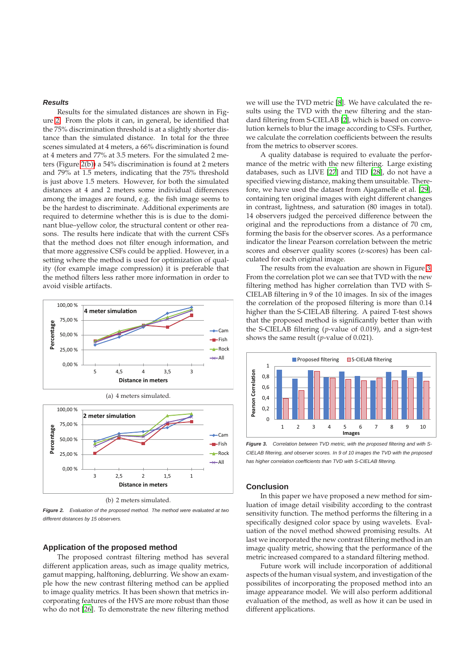## **Results**

Results for the simulated distances are shown in Figure [2.](#page-4-0) From the plots it can, in general, be identified that the 75% discrimination threshold is at a slightly shorter distance than the simulated distance. In total for the three scenes simulated at 4 meters, a 66% discrimination is found at 4 meters and 77% at 3.5 meters. For the simulated 2 meters (Figure [2\(b\)\)](#page-4-1) a 54% discrimination is found at 2 meters and 79% at 1.5 meters, indicating that the 75% threshold is just above 1.5 meters. However, for both the simulated distances at 4 and 2 meters some individual differences among the images are found, e.g. the fish image seems to be the hardest to discriminate. Additional experiments are required to determine whether this is is due to the dominant blue–yellow color, the structural content or other reasons. The results here indicate that with the current CSFs that the method does not filter enough information, and that more aggressive CSFs could be applied. However, in a setting where the method is used for optimization of quality (for example image compression) it is preferable that the method filters less rather more information in order to avoid visible artifacts.



(b) 2 meters simulated.

<span id="page-4-1"></span><span id="page-4-0"></span>**Figure 2.** Evaluation of the proposed method. The method were evaluated at two different distances by 15 observers.

### **Application of the proposed method**

The proposed contrast filtering method has several different application areas, such as image quality metrics, gamut mapping, halftoning, deblurring. We show an example how the new contrast filtering method can be applied to image quality metrics. It has been shown that metrics incorporating features of the HVS are more robust than those who do not [\[26\]](#page-5-25). To demonstrate the new filtering method

we will use the TVD metric [\[8\]](#page-5-7). We have calculated the results using the TVD with the new filtering and the standard filtering from S-CIELAB [\[2](#page-5-1)], which is based on convolution kernels to blur the image according to CSFs. Further, we calculate the correlation coefficients between the results from the metrics to observer scores.

A quality database is required to evaluate the performance of the metric with the new filtering. Large existing databases, such as LIVE [\[27\]](#page-5-26) and TID [\[28](#page-5-27)], do not have a specified viewing distance, making them unsuitable. Therefore, we have used the dataset from Ajagamelle et al. [\[29](#page-5-28)], containing ten original images with eight different changes in contrast, lightness, and saturation (80 images in total). 14 observers judged the perceived difference between the original and the reproductions from a distance of 70 cm, forming the basis for the observer scores. As a performance indicator the linear Pearson correlation between the metric scores and observer quality scores (z-scores) has been calculated for each original image.

The results from the evaluation are shown in Figure [3.](#page-4-2) From the correlation plot we can see that TVD with the new filtering method has higher correlation than TVD with S-CIELAB filtering in 9 of the 10 images. In six of the images the correlation of the proposed filtering is more than 0.14 higher than the S-CIELAB filtering. A paired T-test shows that the proposed method is significantly better than with the S-CIELAB filtering (*p*-value of 0.019), and a sign-test shows the same result (*p*-value of 0.021).



<span id="page-4-2"></span>**Figure 3.** Correlation between TVD metric, with the proposed filtering and with S-CIELAB filtering, and observer scores. In 9 of 10 images the TVD with the proposed has higher correlation coefficients than TVD with S-CIELAB filtering.

## **Conclusion**

In this paper we have proposed a new method for simluation of image detail visibility according to the contrast sensitivity function. The method performs the filtering in a specifically designed color space by using wavelets. Evaluation of the novel method showed promising results. At last we incorporated the new contrast filtering method in an image quality metric, showing that the performance of the metric increased compared to a standard filtering method.

Future work will include incorporation of additional aspects of the human visual system, and investigation of the possibilites of incorporating the proposed method into an image appearance model. We will also perform additional evaluation of the method, as well as how it can be used in different applications.